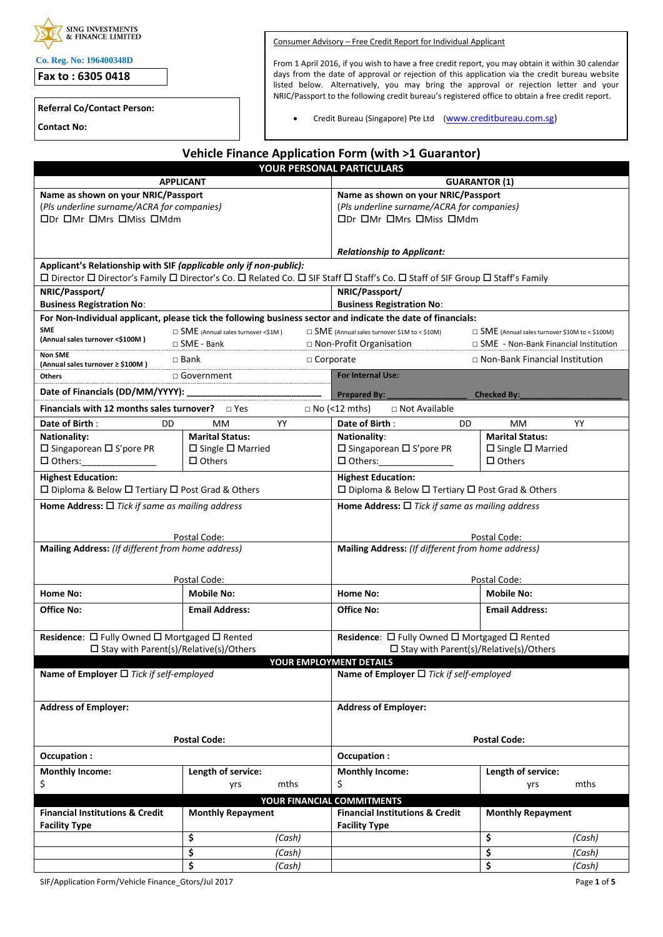| <b>SING INVESTMENTS</b><br><b>&amp; FINANCE LIMITED</b> |
|---------------------------------------------------------|
|                                                         |

**Co. Reg. No: 196400348D**

**Fax to : 6305 0418**

**Referral Co/Contact Person:**

**Contact No:**

Consumer Advisory – Free Credit Report for Individual Applicant

From 1 April 2016, if you wish to have a free credit report, you may obtain it within 30 calendar days from the date of approval or rejection of this application via the credit bureau website listed below. Alternatively, you may bring the approval or rejection letter and your NRIC/Passport to the following credit bureau's registered office to obtain a free credit report.

• Credit Bureau (Singapore) Pte Ltd ([www.creditbureau.com.sg\)](http://www.creditbureau.com.sg/)

|                                                                    |                                          | Vehicle Finance Application Form (with >1 Guarantor)                                                                          |                                                                                                   |  |  |
|--------------------------------------------------------------------|------------------------------------------|-------------------------------------------------------------------------------------------------------------------------------|---------------------------------------------------------------------------------------------------|--|--|
|                                                                    |                                          | YOUR PERSONAL PARTICULARS                                                                                                     |                                                                                                   |  |  |
| <b>APPLICANT</b>                                                   |                                          |                                                                                                                               | <b>GUARANTOR (1)</b>                                                                              |  |  |
| Name as shown on your NRIC/Passport                                |                                          | Name as shown on your NRIC/Passport                                                                                           |                                                                                                   |  |  |
| (Pls underline surname/ACRA for companies)                         |                                          |                                                                                                                               | (Pls underline surname/ACRA for companies)                                                        |  |  |
| <b>ODr OMr OMrs OMiss OMdm</b>                                     |                                          |                                                                                                                               | <b>ODr OMr OMrs OMiss OMdm</b>                                                                    |  |  |
|                                                                    |                                          |                                                                                                                               |                                                                                                   |  |  |
|                                                                    |                                          | <b>Relationship to Applicant:</b>                                                                                             |                                                                                                   |  |  |
| Applicant's Relationship with SIF (applicable only if non-public): |                                          |                                                                                                                               |                                                                                                   |  |  |
|                                                                    |                                          | □ Director □ Director's Family □ Director's Co. □ Related Co. □ SIF Staff □ Staff's Co. □ Staff of SIF Group □ Staff's Family |                                                                                                   |  |  |
| NRIC/Passport/                                                     |                                          | NRIC/Passport/                                                                                                                |                                                                                                   |  |  |
| <b>Business Registration No:</b>                                   |                                          | <b>Business Registration No:</b>                                                                                              |                                                                                                   |  |  |
|                                                                    |                                          | For Non-Individual applicant, please tick the following business sector and indicate the date of financials:                  |                                                                                                   |  |  |
| <b>SME</b><br>(Annual sales turnover <\$100M)                      | $\Box$ SME (Annual sales turnover <\$1M) | $\Box$ SME (Annual sales turnover \$1M to < \$10M)                                                                            | $\Box$ SME (Annual sales turnover \$10M to < \$100M)                                              |  |  |
| <b>Non SME</b>                                                     | $\Box$ SME - Bank                        | □ Non-Profit Organisation                                                                                                     | $\Box$ SME - Non-Bank Financial Institution                                                       |  |  |
| (Annual sales turnover ≥ \$100M)                                   | $\square$ Bank                           | $\Box$ Corporate                                                                                                              | □ Non-Bank Financial Institution                                                                  |  |  |
| Others                                                             | □ Government                             | For Internal Use:                                                                                                             |                                                                                                   |  |  |
| Date of Financials (DD/MM/YYYY):                                   |                                          | <b>Prepared By:</b>                                                                                                           | <b>Checked By:</b>                                                                                |  |  |
| Financials with 12 months sales turnover? $\Box$ Yes               |                                          | $\Box$ No (<12 mths)<br>□ Not Available                                                                                       |                                                                                                   |  |  |
| Date of Birth:<br>DD                                               | YY<br>MМ                                 | Date of Birth:                                                                                                                | YY<br>DD<br>MM.                                                                                   |  |  |
| <b>Nationality:</b>                                                | <b>Marital Status:</b>                   | <b>Nationality:</b>                                                                                                           | <b>Marital Status:</b>                                                                            |  |  |
| $\square$ Singaporean $\square$ S'pore PR                          | $\square$ Single $\square$ Married       | $\square$ Singaporean $\square$ S'pore PR                                                                                     | $\Box$ Single $\Box$ Married                                                                      |  |  |
| $\Box$ Others:                                                     | $\Box$ Others                            | $\Box$ Others:                                                                                                                | $\Box$ Others                                                                                     |  |  |
| <b>Highest Education:</b>                                          |                                          | <b>Highest Education:</b>                                                                                                     |                                                                                                   |  |  |
| □ Diploma & Below □ Tertiary □ Post Grad & Others                  |                                          |                                                                                                                               | □ Diploma & Below □ Tertiary □ Post Grad & Others                                                 |  |  |
| Home Address: $\Box$ Tick if same as mailing address               |                                          |                                                                                                                               | Home Address: $\Box$ Tick if same as mailing address                                              |  |  |
|                                                                    |                                          |                                                                                                                               |                                                                                                   |  |  |
|                                                                    |                                          |                                                                                                                               | Postal Code:                                                                                      |  |  |
| Postal Code:<br>Mailing Address: (If different from home address)  |                                          |                                                                                                                               | Mailing Address: (If different from home address)                                                 |  |  |
|                                                                    |                                          |                                                                                                                               |                                                                                                   |  |  |
|                                                                    | Postal Code:                             |                                                                                                                               | Postal Code:                                                                                      |  |  |
| Home No:                                                           | <b>Mobile No:</b>                        | Home No:                                                                                                                      | <b>Mobile No:</b>                                                                                 |  |  |
|                                                                    |                                          |                                                                                                                               |                                                                                                   |  |  |
| <b>Office No:</b>                                                  | <b>Email Address:</b>                    | Office No:                                                                                                                    | <b>Email Address:</b>                                                                             |  |  |
| Residence: □ Fully Owned □ Mortgaged □ Rented                      |                                          |                                                                                                                               |                                                                                                   |  |  |
|                                                                    |                                          |                                                                                                                               | Residence: □ Fully Owned □ Mortgaged □ Rented<br>$\square$ Stay with Parent(s)/Relative(s)/Others |  |  |
| $\square$ Stay with Parent(s)/Relative(s)/Others                   |                                          | YOUR EMPLOYMENT DETAILS                                                                                                       |                                                                                                   |  |  |
| Name of Employer $\Box$ Tick if self-employed                      |                                          |                                                                                                                               | Name of Employer $\Box$ Tick if self-employed                                                     |  |  |
|                                                                    |                                          |                                                                                                                               |                                                                                                   |  |  |
|                                                                    |                                          |                                                                                                                               | <b>Address of Employer:</b>                                                                       |  |  |
| <b>Address of Employer:</b>                                        |                                          |                                                                                                                               |                                                                                                   |  |  |
|                                                                    |                                          |                                                                                                                               |                                                                                                   |  |  |
| <b>Postal Code:</b>                                                |                                          |                                                                                                                               | <b>Postal Code:</b>                                                                               |  |  |
| Occupation:                                                        |                                          | Occupation:                                                                                                                   |                                                                                                   |  |  |
| <b>Monthly Income:</b>                                             | Length of service:                       | <b>Monthly Income:</b>                                                                                                        | Length of service:                                                                                |  |  |
| \$                                                                 | mths<br>yrs                              | \$                                                                                                                            | mths<br>yrs                                                                                       |  |  |
|                                                                    |                                          | YOUR FINANCIAL COMMITMENTS                                                                                                    |                                                                                                   |  |  |
| <b>Financial Institutions &amp; Credit</b>                         | <b>Monthly Repayment</b>                 | <b>Financial Institutions &amp; Credit</b>                                                                                    | <b>Monthly Repayment</b>                                                                          |  |  |
| <b>Facility Type</b>                                               |                                          | <b>Facility Type</b>                                                                                                          |                                                                                                   |  |  |
|                                                                    | \$<br>(Cash)                             |                                                                                                                               | \$<br>(Cash)                                                                                      |  |  |
|                                                                    | \$<br>(Cash)                             |                                                                                                                               | \$<br>(Cash)                                                                                      |  |  |
|                                                                    | \$<br>(Cash)                             |                                                                                                                               | \$<br>(Cash)                                                                                      |  |  |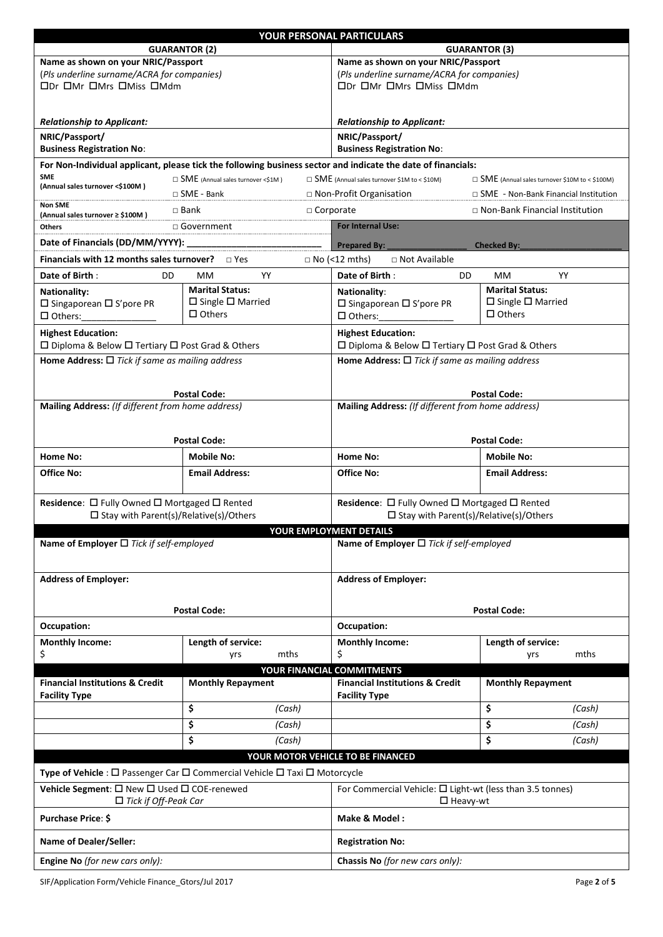|                                                                                                                                                      | <b>GUARANTOR (2)</b>                                                                                         | YOUR PERSONAL PARTICULARS                                                                                  |                                                        |  |  |
|------------------------------------------------------------------------------------------------------------------------------------------------------|--------------------------------------------------------------------------------------------------------------|------------------------------------------------------------------------------------------------------------|--------------------------------------------------------|--|--|
| Name as shown on your NRIC/Passport                                                                                                                  |                                                                                                              | <b>GUARANTOR (3)</b><br>Name as shown on your NRIC/Passport                                                |                                                        |  |  |
| (Pls underline surname/ACRA for companies)                                                                                                           |                                                                                                              | (Pls underline surname/ACRA for companies)                                                                 |                                                        |  |  |
| ODr OMr OMrs OMiss OMdm                                                                                                                              |                                                                                                              | ODr OMr OMrs OMiss OMdm                                                                                    |                                                        |  |  |
|                                                                                                                                                      |                                                                                                              |                                                                                                            |                                                        |  |  |
| <b>Relationship to Applicant:</b>                                                                                                                    |                                                                                                              | <b>Relationship to Applicant:</b>                                                                          |                                                        |  |  |
| NRIC/Passport/                                                                                                                                       |                                                                                                              | NRIC/Passport/                                                                                             |                                                        |  |  |
| <b>Business Registration No:</b>                                                                                                                     |                                                                                                              | <b>Business Registration No:</b>                                                                           |                                                        |  |  |
|                                                                                                                                                      | For Non-Individual applicant, please tick the following business sector and indicate the date of financials: |                                                                                                            |                                                        |  |  |
| <b>SME</b><br>(Annual sales turnover <\$100M)                                                                                                        | $\Box$ SME (Annual sales turnover <\$1M)                                                                     | $\Box$ SME (Annual sales turnover \$1M to < \$10M)<br>$\Box$ SME (Annual sales turnover \$10M to < \$100M) |                                                        |  |  |
| Non SME                                                                                                                                              | $\Box$ SME - Bank                                                                                            | □ Non-Profit Organisation<br>$\Box$ SME - Non-Bank Financial Institution                                   |                                                        |  |  |
| (Annual sales turnover ≥ \$100M)                                                                                                                     | $\Box$ Bank                                                                                                  | □ Non-Bank Financial Institution<br>$\Box$ Corporate                                                       |                                                        |  |  |
| <b>Others</b>                                                                                                                                        | □ Government                                                                                                 | <b>For Internal Use:</b>                                                                                   |                                                        |  |  |
|                                                                                                                                                      |                                                                                                              | Prepared By:                                                                                               | <b>Checked By:</b>                                     |  |  |
| <b>Financials with 12 months sales turnover?</b> $\Box$ Yes                                                                                          |                                                                                                              | $\Box$ No (<12 mths)<br>$\Box$ Not Available                                                               |                                                        |  |  |
| Date of Birth:<br>DD                                                                                                                                 | YY<br>MМ<br><b>Marital Status:</b>                                                                           | Date of Birth:<br>DD                                                                                       | YY<br>MM.                                              |  |  |
| <b>Nationality:</b><br>$\square$ Singaporean $\square$ S'pore PR                                                                                     | $\Box$ Single $\Box$ Married                                                                                 | <b>Nationality:</b><br>$\square$ Singaporean $\square$ S'pore PR                                           | <b>Marital Status:</b><br>$\Box$ Single $\Box$ Married |  |  |
| $\Box$ Others:                                                                                                                                       | $\Box$ Others                                                                                                | $\Box$ Others:                                                                                             | $\Box$ Others                                          |  |  |
| <b>Highest Education:</b>                                                                                                                            |                                                                                                              | <b>Highest Education:</b>                                                                                  |                                                        |  |  |
| $\Box$ Diploma & Below $\Box$ Tertiary $\Box$ Post Grad & Others                                                                                     |                                                                                                              | □ Diploma & Below □ Tertiary □ Post Grad & Others                                                          |                                                        |  |  |
| Home Address: $\Box$ Tick if same as mailing address                                                                                                 |                                                                                                              | Home Address: $\Box$ Tick if same as mailing address                                                       |                                                        |  |  |
|                                                                                                                                                      |                                                                                                              |                                                                                                            |                                                        |  |  |
|                                                                                                                                                      | <b>Postal Code:</b>                                                                                          |                                                                                                            | <b>Postal Code:</b>                                    |  |  |
| Mailing Address: (If different from home address)                                                                                                    |                                                                                                              | Mailing Address: (If different from home address)                                                          |                                                        |  |  |
|                                                                                                                                                      |                                                                                                              |                                                                                                            |                                                        |  |  |
|                                                                                                                                                      | <b>Postal Code:</b>                                                                                          | <b>Postal Code:</b>                                                                                        |                                                        |  |  |
| Home No:                                                                                                                                             | <b>Mobile No:</b>                                                                                            | Home No:                                                                                                   | <b>Mobile No:</b>                                      |  |  |
| <b>Office No:</b>                                                                                                                                    | <b>Email Address:</b>                                                                                        | <b>Office No:</b>                                                                                          | <b>Email Address:</b>                                  |  |  |
|                                                                                                                                                      |                                                                                                              |                                                                                                            |                                                        |  |  |
| Residence: □ Fully Owned □ Mortgaged □ Rented<br>$\square$ Stay with Parent(s)/Relative(s)/Others                                                    |                                                                                                              | Residence: □ Fully Owned □ Mortgaged □ Rented<br>$\square$ Stay with Parent(s)/Relative(s)/Others          |                                                        |  |  |
|                                                                                                                                                      |                                                                                                              | <b>YOUR EMPLOYMENT DETAILS</b>                                                                             |                                                        |  |  |
| Name of Employer $\Box$ Tick if self-employed                                                                                                        |                                                                                                              | Name of Employer $\Box$ Tick if self-employed                                                              |                                                        |  |  |
|                                                                                                                                                      |                                                                                                              |                                                                                                            |                                                        |  |  |
| <b>Address of Employer:</b>                                                                                                                          |                                                                                                              | <b>Address of Employer:</b>                                                                                |                                                        |  |  |
|                                                                                                                                                      |                                                                                                              |                                                                                                            |                                                        |  |  |
|                                                                                                                                                      | <b>Postal Code:</b>                                                                                          | <b>Postal Code:</b>                                                                                        |                                                        |  |  |
| <b>Occupation:</b>                                                                                                                                   |                                                                                                              | Occupation:                                                                                                |                                                        |  |  |
| <b>Monthly Income:</b>                                                                                                                               | Length of service:                                                                                           | <b>Monthly Income:</b>                                                                                     | Length of service:                                     |  |  |
| \$                                                                                                                                                   | mths<br>yrs                                                                                                  | \$                                                                                                         | mths<br>yrs                                            |  |  |
|                                                                                                                                                      |                                                                                                              | YOUR FINANCIAL COMMITMENTS                                                                                 |                                                        |  |  |
| <b>Financial Institutions &amp; Credit</b>                                                                                                           | <b>Monthly Repayment</b>                                                                                     | <b>Financial Institutions &amp; Credit</b>                                                                 | <b>Monthly Repayment</b>                               |  |  |
| <b>Facility Type</b>                                                                                                                                 | \$<br>(Cash)                                                                                                 | <b>Facility Type</b>                                                                                       | \$<br>(Cash)                                           |  |  |
|                                                                                                                                                      | \$<br>(Cash)                                                                                                 |                                                                                                            | \$<br>(Cash)                                           |  |  |
|                                                                                                                                                      | \$<br>(Cash)                                                                                                 |                                                                                                            | \$<br>(Cash)                                           |  |  |
|                                                                                                                                                      |                                                                                                              | YOUR MOTOR VEHICLE TO BE FINANCED                                                                          |                                                        |  |  |
|                                                                                                                                                      |                                                                                                              |                                                                                                            |                                                        |  |  |
| <b>Type of Vehicle</b> : $\Box$ Passenger Car $\Box$ Commercial Vehicle $\Box$ Taxi $\Box$ Motorcycle<br>Vehicle Segment: □ New □ Used □ COE-renewed |                                                                                                              | For Commercial Vehicle: $\square$ Light-wt (less than 3.5 tonnes)                                          |                                                        |  |  |
| $\Box$ Tick if Off-Peak Car                                                                                                                          |                                                                                                              | $\Box$ Heavy-wt                                                                                            |                                                        |  |  |
| <b>Purchase Price: \$</b>                                                                                                                            |                                                                                                              | Make & Model:                                                                                              |                                                        |  |  |
|                                                                                                                                                      |                                                                                                              |                                                                                                            |                                                        |  |  |
| <b>Name of Dealer/Seller:</b>                                                                                                                        |                                                                                                              | <b>Registration No:</b>                                                                                    |                                                        |  |  |
| Engine No (for new cars only):                                                                                                                       |                                                                                                              | Chassis No (for new cars only):                                                                            |                                                        |  |  |

SIF/Application Form/Vehicle Finance\_Gtors/Jul 2017 **Page 2** of 5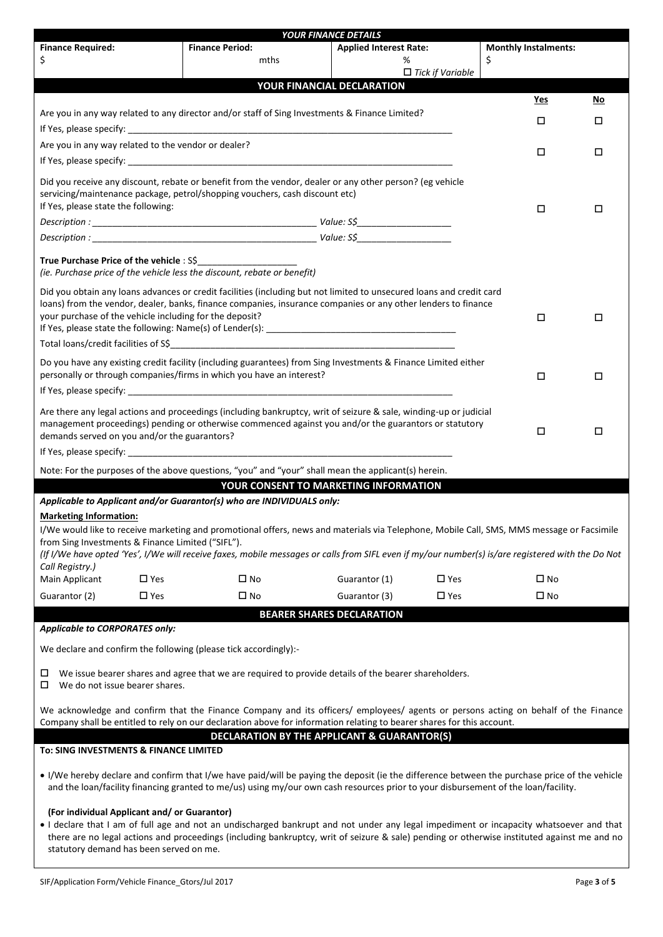|                                                                                                                                                                                                                                                                                                                                                                                   |                                                                                                | <b>YOUR FINANCE DETAILS</b>                                                                                                                                                                                                                                                                                                                                                                                                                                                                                                                         |    |                             |        |
|-----------------------------------------------------------------------------------------------------------------------------------------------------------------------------------------------------------------------------------------------------------------------------------------------------------------------------------------------------------------------------------|------------------------------------------------------------------------------------------------|-----------------------------------------------------------------------------------------------------------------------------------------------------------------------------------------------------------------------------------------------------------------------------------------------------------------------------------------------------------------------------------------------------------------------------------------------------------------------------------------------------------------------------------------------------|----|-----------------------------|--------|
| <b>Finance Required:</b>                                                                                                                                                                                                                                                                                                                                                          | <b>Finance Period:</b>                                                                         | <b>Applied Interest Rate:</b>                                                                                                                                                                                                                                                                                                                                                                                                                                                                                                                       |    | <b>Monthly Instalments:</b> |        |
| \$                                                                                                                                                                                                                                                                                                                                                                                | mths                                                                                           | %                                                                                                                                                                                                                                                                                                                                                                                                                                                                                                                                                   | \$ |                             |        |
|                                                                                                                                                                                                                                                                                                                                                                                   |                                                                                                | $\Box$ Tick if Variable                                                                                                                                                                                                                                                                                                                                                                                                                                                                                                                             |    |                             |        |
|                                                                                                                                                                                                                                                                                                                                                                                   |                                                                                                | YOUR FINANCIAL DECLARATION                                                                                                                                                                                                                                                                                                                                                                                                                                                                                                                          |    |                             |        |
|                                                                                                                                                                                                                                                                                                                                                                                   |                                                                                                |                                                                                                                                                                                                                                                                                                                                                                                                                                                                                                                                                     |    | Yes                         | No     |
|                                                                                                                                                                                                                                                                                                                                                                                   | Are you in any way related to any director and/or staff of Sing Investments & Finance Limited? |                                                                                                                                                                                                                                                                                                                                                                                                                                                                                                                                                     |    | □                           | □      |
|                                                                                                                                                                                                                                                                                                                                                                                   |                                                                                                |                                                                                                                                                                                                                                                                                                                                                                                                                                                                                                                                                     |    |                             |        |
| Are you in any way related to the vendor or dealer?                                                                                                                                                                                                                                                                                                                               |                                                                                                |                                                                                                                                                                                                                                                                                                                                                                                                                                                                                                                                                     |    | □                           | □      |
|                                                                                                                                                                                                                                                                                                                                                                                   |                                                                                                |                                                                                                                                                                                                                                                                                                                                                                                                                                                                                                                                                     |    |                             |        |
| If Yes, please state the following:                                                                                                                                                                                                                                                                                                                                               | servicing/maintenance package, petrol/shopping vouchers, cash discount etc)                    | Did you receive any discount, rebate or benefit from the vendor, dealer or any other person? (eg vehicle                                                                                                                                                                                                                                                                                                                                                                                                                                            |    | $\Box$                      | □      |
|                                                                                                                                                                                                                                                                                                                                                                                   |                                                                                                |                                                                                                                                                                                                                                                                                                                                                                                                                                                                                                                                                     |    |                             |        |
|                                                                                                                                                                                                                                                                                                                                                                                   |                                                                                                | $\begin{minipage}{0.9\textwidth} \begin{tabular}{@{}l@{}} \textbf{Description:} \end{tabular} \hline \begin{tabular}{@{}l@{}} \textbf{Description:} \end{tabular} \hline \begin{tabular}{@{}l@{}} \textbf{Description:} \end{tabular} \hline \begin{tabular}{@{}l@{}} \textbf{Description:} \end{tabular} \hline \begin{tabular}{@{}l@{}} \textbf{Description:} \end{tabular} \hline \begin{tabular}{@{}l@{}} \textbf{Description:} \end{tabular} \hline \begin{tabular}{@{}l@{}} \textbf{Description:} \end{tabular} \hline \begin{tabular}{@{}l@$ |    |                             |        |
|                                                                                                                                                                                                                                                                                                                                                                                   |                                                                                                |                                                                                                                                                                                                                                                                                                                                                                                                                                                                                                                                                     |    |                             |        |
| True Purchase Price of the vehicle: S\$                                                                                                                                                                                                                                                                                                                                           | (ie. Purchase price of the vehicle less the discount, rebate or benefit)                       |                                                                                                                                                                                                                                                                                                                                                                                                                                                                                                                                                     |    |                             |        |
| your purchase of the vehicle including for the deposit?                                                                                                                                                                                                                                                                                                                           |                                                                                                | Did you obtain any loans advances or credit facilities (including but not limited to unsecured loans and credit card<br>loans) from the vendor, dealer, banks, finance companies, insurance companies or any other lenders to finance                                                                                                                                                                                                                                                                                                               |    | □                           | □      |
|                                                                                                                                                                                                                                                                                                                                                                                   | personally or through companies/firms in which you have an interest?                           | Do you have any existing credit facility (including guarantees) from Sing Investments & Finance Limited either                                                                                                                                                                                                                                                                                                                                                                                                                                      |    | $\Box$                      | □      |
| demands served on you and/or the guarantors?                                                                                                                                                                                                                                                                                                                                      |                                                                                                | Are there any legal actions and proceedings (including bankruptcy, writ of seizure & sale, winding-up or judicial<br>management proceedings) pending or otherwise commenced against you and/or the guarantors or statutory                                                                                                                                                                                                                                                                                                                          |    | □                           | $\Box$ |
|                                                                                                                                                                                                                                                                                                                                                                                   |                                                                                                | Note: For the purposes of the above questions, "you" and "your" shall mean the applicant(s) herein.                                                                                                                                                                                                                                                                                                                                                                                                                                                 |    |                             |        |
|                                                                                                                                                                                                                                                                                                                                                                                   |                                                                                                | YOUR CONSENT TO MARKETING INFORMATION                                                                                                                                                                                                                                                                                                                                                                                                                                                                                                               |    |                             |        |
|                                                                                                                                                                                                                                                                                                                                                                                   | Applicable to Applicant and/or Guarantor(s) who are INDIVIDUALS only:                          |                                                                                                                                                                                                                                                                                                                                                                                                                                                                                                                                                     |    |                             |        |
| <b>Marketing Information:</b><br>from Sing Investments & Finance Limited ("SIFL").<br>Call Registry.)                                                                                                                                                                                                                                                                             |                                                                                                | I/We would like to receive marketing and promotional offers, news and materials via Telephone, Mobile Call, SMS, MMS message or Facsimile<br>(If I/We have opted 'Yes', I/We will receive faxes, mobile messages or calls from SIFL even if my/our number(s) is/are registered with the Do Not                                                                                                                                                                                                                                                      |    |                             |        |
| Main Applicant<br>$\square$ Yes                                                                                                                                                                                                                                                                                                                                                   | $\square$ No                                                                                   | Guarantor (1)<br>$\square$ Yes                                                                                                                                                                                                                                                                                                                                                                                                                                                                                                                      |    | $\square$ No                |        |
| $\square$ Yes<br>Guarantor (2)                                                                                                                                                                                                                                                                                                                                                    | □ No                                                                                           | $\square$ Yes<br>Guarantor (3)                                                                                                                                                                                                                                                                                                                                                                                                                                                                                                                      |    | □ No                        |        |
|                                                                                                                                                                                                                                                                                                                                                                                   |                                                                                                | <b>BEARER SHARES DECLARATION</b>                                                                                                                                                                                                                                                                                                                                                                                                                                                                                                                    |    |                             |        |
| <b>Applicable to CORPORATES only:</b>                                                                                                                                                                                                                                                                                                                                             |                                                                                                |                                                                                                                                                                                                                                                                                                                                                                                                                                                                                                                                                     |    |                             |        |
| We declare and confirm the following (please tick accordingly):-                                                                                                                                                                                                                                                                                                                  |                                                                                                |                                                                                                                                                                                                                                                                                                                                                                                                                                                                                                                                                     |    |                             |        |
| □<br>We do not issue bearer shares.<br>□                                                                                                                                                                                                                                                                                                                                          |                                                                                                | We issue bearer shares and agree that we are required to provide details of the bearer shareholders.                                                                                                                                                                                                                                                                                                                                                                                                                                                |    |                             |        |
|                                                                                                                                                                                                                                                                                                                                                                                   |                                                                                                | We acknowledge and confirm that the Finance Company and its officers/ employees/ agents or persons acting on behalf of the Finance<br>Company shall be entitled to rely on our declaration above for information relating to bearer shares for this account.                                                                                                                                                                                                                                                                                        |    |                             |        |
| To: SING INVESTMENTS & FINANCE LIMITED                                                                                                                                                                                                                                                                                                                                            |                                                                                                | DECLARATION BY THE APPLICANT & GUARANTOR(S)                                                                                                                                                                                                                                                                                                                                                                                                                                                                                                         |    |                             |        |
|                                                                                                                                                                                                                                                                                                                                                                                   |                                                                                                | • I/We hereby declare and confirm that I/we have paid/will be paying the deposit (ie the difference between the purchase price of the vehicle<br>and the loan/facility financing granted to me/us) using my/our own cash resources prior to your disbursement of the loan/facility.                                                                                                                                                                                                                                                                 |    |                             |        |
| (For individual Applicant and/ or Guarantor)<br>. I declare that I am of full age and not an undischarged bankrupt and not under any legal impediment or incapacity whatsoever and that<br>there are no legal actions and proceedings (including bankruptcy, writ of seizure & sale) pending or otherwise instituted against me and no<br>statutory demand has been served on me. |                                                                                                |                                                                                                                                                                                                                                                                                                                                                                                                                                                                                                                                                     |    |                             |        |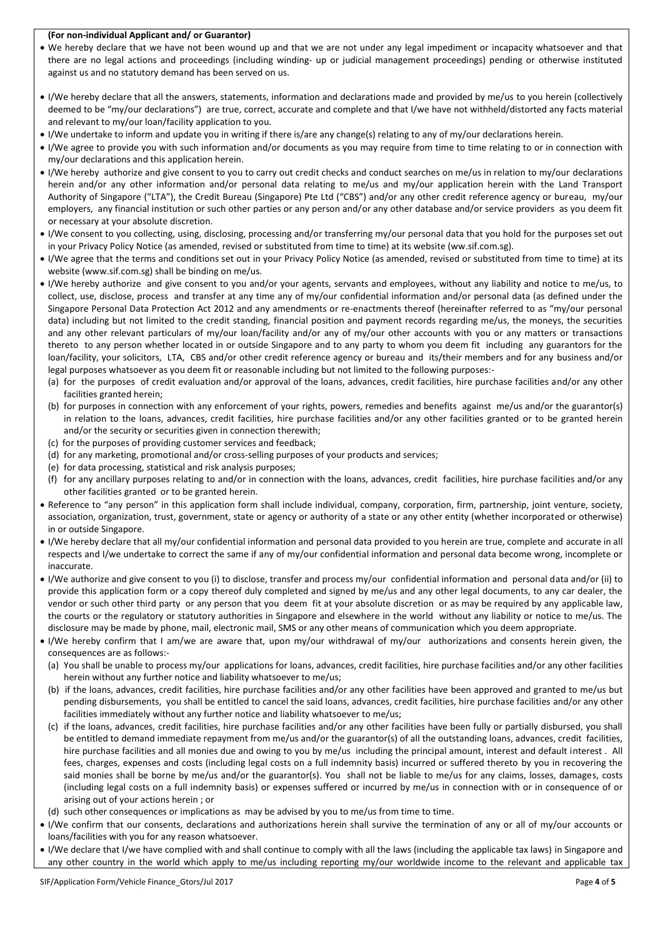## **(For non-individual Applicant and/ or Guarantor)**

- We hereby declare that we have not been wound up and that we are not under any legal impediment or incapacity whatsoever and that there are no legal actions and proceedings (including winding- up or judicial management proceedings) pending or otherwise instituted against us and no statutory demand has been served on us.
- I/We hereby declare that all the answers, statements, information and declarations made and provided by me/us to you herein (collectively deemed to be "my/our declarations") are true, correct, accurate and complete and that I/we have not withheld/distorted any facts material and relevant to my/our loan/facility application to you.
- I/We undertake to inform and update you in writing if there is/are any change(s) relating to any of my/our declarations herein.
- I/We agree to provide you with such information and/or documents as you may require from time to time relating to or in connection with my/our declarations and this application herein.
- I/We hereby authorize and give consent to you to carry out credit checks and conduct searches on me/us in relation to my/our declarations herein and/or any other information and/or personal data relating to me/us and my/our application herein with the Land Transport Authority of Singapore ("LTA"), the Credit Bureau (Singapore) Pte Ltd ("CBS") and/or any other credit reference agency or bureau, my/our employers, any financial institution or such other parties or any person and/or any other database and/or service providers as you deem fit or necessary at your absolute discretion.
- I/We consent to you collecting, using, disclosing, processing and/or transferring my/our personal data that you hold for the purposes set out in your Privacy Policy Notice (as amended, revised or substituted from time to time) at its website (ww.sif.com.sg).
- I/We agree that the terms and conditions set out in your Privacy Policy Notice (as amended, revised or substituted from time to time) at its website (www.sif.com.sg) shall be binding on me/us.
- I/We hereby authorize and give consent to you and/or your agents, servants and employees, without any liability and notice to me/us, to collect, use, disclose, process and transfer at any time any of my/our confidential information and/or personal data (as defined under the Singapore Personal Data Protection Act 2012 and any amendments or re-enactments thereof (hereinafter referred to as "my/our personal data) including but not limited to the credit standing, financial position and payment records regarding me/us, the moneys, the securities and any other relevant particulars of my/our loan/facility and/or any of my/our other accounts with you or any matters or transactions thereto to any person whether located in or outside Singapore and to any party to whom you deem fit including any guarantors for the loan/facility, your solicitors, LTA, CBS and/or other credit reference agency or bureau and its/their members and for any business and/or legal purposes whatsoever as you deem fit or reasonable including but not limited to the following purposes:-
	- (a) for the purposes of credit evaluation and/or approval of the loans, advances, credit facilities, hire purchase facilities and/or any other facilities granted herein;
	- (b) for purposes in connection with any enforcement of your rights, powers, remedies and benefits against me/us and/or the guarantor(s) in relation to the loans, advances, credit facilities, hire purchase facilities and/or any other facilities granted or to be granted herein and/or the security or securities given in connection therewith;
	- (c) for the purposes of providing customer services and feedback;
	- (d) for any marketing, promotional and/or cross-selling purposes of your products and services;
	- (e) for data processing, statistical and risk analysis purposes;
- (f) for any ancillary purposes relating to and/or in connection with the loans, advances, credit facilities, hire purchase facilities and/or any other facilities granted or to be granted herein.
- Reference to "any person" in this application form shall include individual, company, corporation, firm, partnership, joint venture, society, association, organization, trust, government, state or agency or authority of a state or any other entity (whether incorporated or otherwise) in or outside Singapore.
- I/We hereby declare that all my/our confidential information and personal data provided to you herein are true, complete and accurate in all respects and I/we undertake to correct the same if any of my/our confidential information and personal data become wrong, incomplete or inaccurate.
- I/We authorize and give consent to you (i) to disclose, transfer and process my/our confidential information and personal data and/or (ii) to provide this application form or a copy thereof duly completed and signed by me/us and any other legal documents, to any car dealer, the vendor or such other third party or any person that you deem fit at your absolute discretion or as may be required by any applicable law, the courts or the regulatory or statutory authorities in Singapore and elsewhere in the world without any liability or notice to me/us. The disclosure may be made by phone, mail, electronic mail, SMS or any other means of communication which you deem appropriate.
- I/We hereby confirm that I am/we are aware that, upon my/our withdrawal of my/our authorizations and consents herein given, the consequences are as follows:-
	- (a) You shall be unable to process my/our applications for loans, advances, credit facilities, hire purchase facilities and/or any other facilities herein without any further notice and liability whatsoever to me/us;
	- (b) if the loans, advances, credit facilities, hire purchase facilities and/or any other facilities have been approved and granted to me/us but pending disbursements, you shall be entitled to cancel the said loans, advances, credit facilities, hire purchase facilities and/or any other facilities immediately without any further notice and liability whatsoever to me/us;
	- (c) if the loans, advances, credit facilities, hire purchase facilities and/or any other facilities have been fully or partially disbursed, you shall be entitled to demand immediate repayment from me/us and/or the guarantor(s) of all the outstanding loans, advances, credit facilities, hire purchase facilities and all monies due and owing to you by me/us including the principal amount, interest and default interest. All fees, charges, expenses and costs (including legal costs on a full indemnity basis) incurred or suffered thereto by you in recovering the said monies shall be borne by me/us and/or the guarantor(s). You shall not be liable to me/us for any claims, losses, damages, costs (including legal costs on a full indemnity basis) or expenses suffered or incurred by me/us in connection with or in consequence of or arising out of your actions herein ; or
- (d) such other consequences or implications as may be advised by you to me/us from time to time.
- I/We confirm that our consents, declarations and authorizations herein shall survive the termination of any or all of my/our accounts or loans/facilities with you for any reason whatsoever.
- I/We declare that I/we have complied with and shall continue to comply with all the laws (including the applicable tax laws) in Singapore and any other country in the world which apply to me/us including reporting my/our worldwide income to the relevant and applicable tax